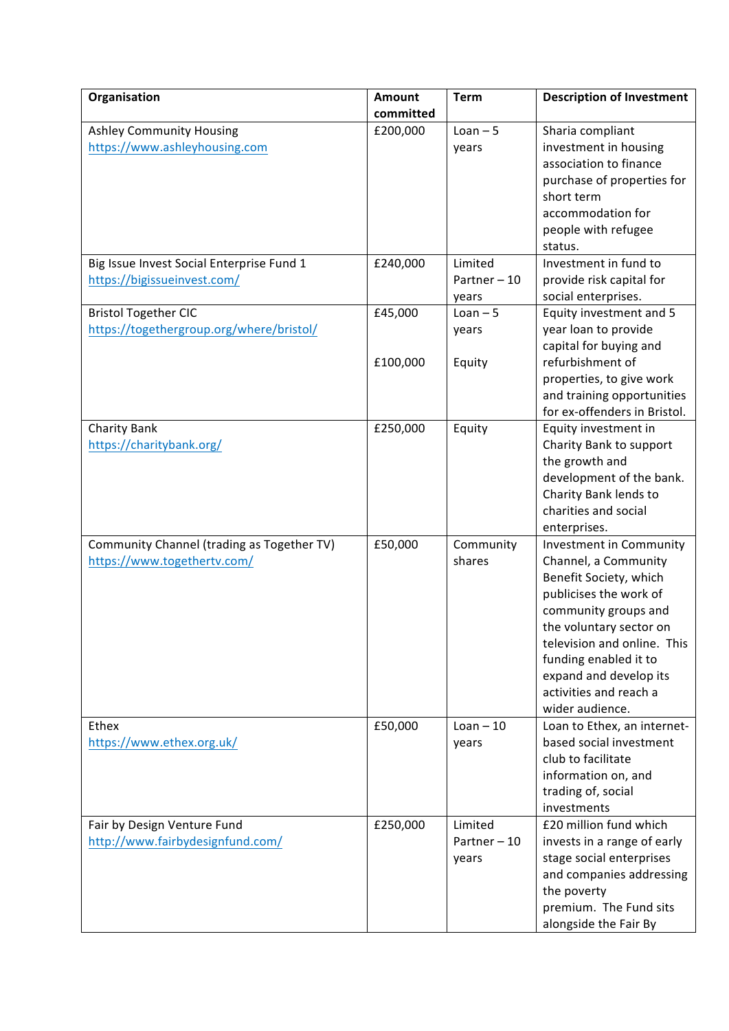| Organisation                                                              | <b>Amount</b> | <b>Term</b>                      | <b>Description of Investment</b>                                                                                                                                                                                                                                                      |
|---------------------------------------------------------------------------|---------------|----------------------------------|---------------------------------------------------------------------------------------------------------------------------------------------------------------------------------------------------------------------------------------------------------------------------------------|
|                                                                           | committed     |                                  |                                                                                                                                                                                                                                                                                       |
| <b>Ashley Community Housing</b><br>https://www.ashleyhousing.com          | £200,000      | $Lean - 5$<br>years              | Sharia compliant<br>investment in housing<br>association to finance<br>purchase of properties for                                                                                                                                                                                     |
|                                                                           |               |                                  | short term<br>accommodation for<br>people with refugee<br>status.                                                                                                                                                                                                                     |
| Big Issue Invest Social Enterprise Fund 1<br>https://bigissueinvest.com/  | £240,000      | Limited<br>Partner-10<br>years   | Investment in fund to<br>provide risk capital for<br>social enterprises.                                                                                                                                                                                                              |
| <b>Bristol Together CIC</b><br>https://togethergroup.org/where/bristol/   | £45,000       | $Lean - 5$<br>years              | Equity investment and 5<br>year loan to provide<br>capital for buying and                                                                                                                                                                                                             |
|                                                                           | £100,000      | Equity                           | refurbishment of<br>properties, to give work<br>and training opportunities<br>for ex-offenders in Bristol.                                                                                                                                                                            |
| Charity Bank<br>https://charitybank.org/                                  | £250,000      | Equity                           | Equity investment in<br>Charity Bank to support<br>the growth and<br>development of the bank.<br>Charity Bank lends to<br>charities and social<br>enterprises.                                                                                                                        |
| Community Channel (trading as Together TV)<br>https://www.togethertv.com/ | £50,000       | Community<br>shares              | Investment in Community<br>Channel, a Community<br>Benefit Society, which<br>publicises the work of<br>community groups and<br>the voluntary sector on<br>television and online. This<br>funding enabled it to<br>expand and develop its<br>activities and reach a<br>wider audience. |
| Ethex<br>https://www.ethex.org.uk/                                        | £50,000       | $Lean - 10$<br>years             | Loan to Ethex, an internet-<br>based social investment<br>club to facilitate<br>information on, and<br>trading of, social<br>investments                                                                                                                                              |
| Fair by Design Venture Fund<br>http://www.fairbydesignfund.com/           | £250,000      | Limited<br>Partner - 10<br>years | £20 million fund which<br>invests in a range of early<br>stage social enterprises<br>and companies addressing<br>the poverty<br>premium. The Fund sits<br>alongside the Fair By                                                                                                       |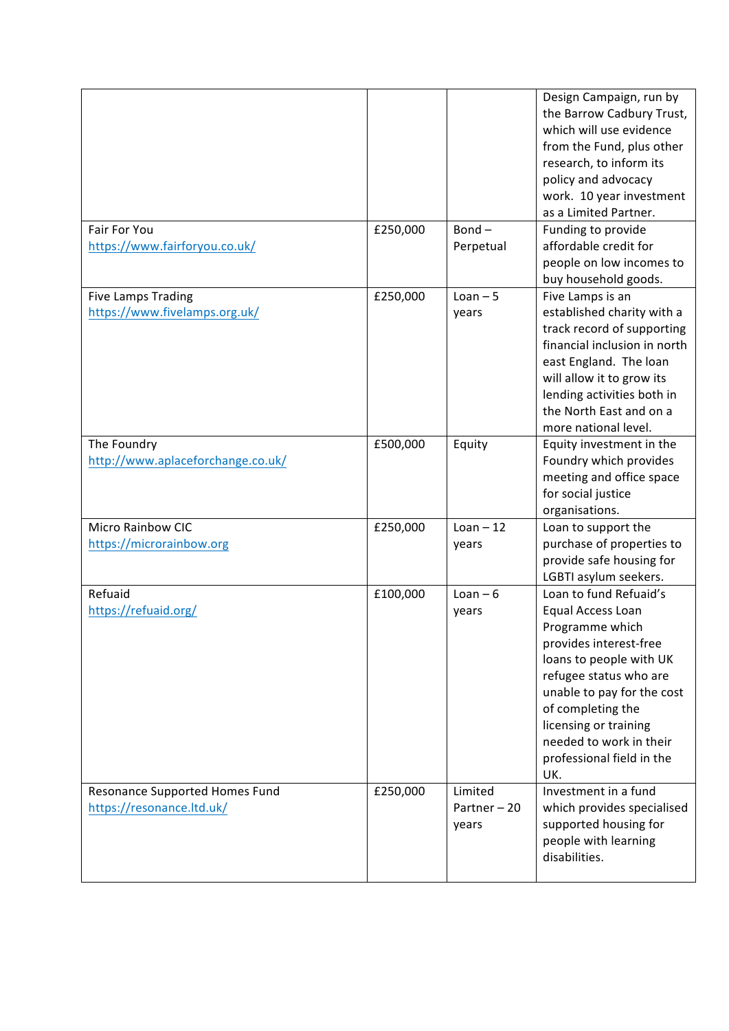|                                   |          |             | Design Campaign, run by<br>the Barrow Cadbury Trust,<br>which will use evidence<br>from the Fund, plus other<br>research, to inform its<br>policy and advocacy<br>work. 10 year investment<br>as a Limited Partner. |
|-----------------------------------|----------|-------------|---------------------------------------------------------------------------------------------------------------------------------------------------------------------------------------------------------------------|
| <b>Fair For You</b>               | £250,000 | $Bond -$    | Funding to provide                                                                                                                                                                                                  |
| https://www.fairforyou.co.uk/     |          | Perpetual   | affordable credit for                                                                                                                                                                                               |
|                                   |          |             | people on low incomes to                                                                                                                                                                                            |
|                                   |          |             | buy household goods.                                                                                                                                                                                                |
| <b>Five Lamps Trading</b>         | £250,000 | $Lean - 5$  | Five Lamps is an                                                                                                                                                                                                    |
| https://www.fivelamps.org.uk/     |          | years       | established charity with a                                                                                                                                                                                          |
|                                   |          |             | track record of supporting                                                                                                                                                                                          |
|                                   |          |             | financial inclusion in north                                                                                                                                                                                        |
|                                   |          |             | east England. The loan                                                                                                                                                                                              |
|                                   |          |             | will allow it to grow its                                                                                                                                                                                           |
|                                   |          |             | lending activities both in                                                                                                                                                                                          |
|                                   |          |             | the North East and on a                                                                                                                                                                                             |
|                                   |          |             | more national level.                                                                                                                                                                                                |
| The Foundry                       | £500,000 | Equity      | Equity investment in the                                                                                                                                                                                            |
| http://www.aplaceforchange.co.uk/ |          |             | Foundry which provides                                                                                                                                                                                              |
|                                   |          |             | meeting and office space                                                                                                                                                                                            |
|                                   |          |             | for social justice                                                                                                                                                                                                  |
|                                   |          |             | organisations.                                                                                                                                                                                                      |
| <b>Micro Rainbow CIC</b>          | £250,000 | $Lean - 12$ | Loan to support the                                                                                                                                                                                                 |
| https://microrainbow.org          |          | years       | purchase of properties to                                                                                                                                                                                           |
|                                   |          |             | provide safe housing for                                                                                                                                                                                            |
|                                   |          |             | LGBTI asylum seekers.                                                                                                                                                                                               |
| Refuaid                           | £100,000 | $Lean - 6$  | Loan to fund Refuaid's                                                                                                                                                                                              |
| https://refuaid.org/              |          | years       | Equal Access Loan                                                                                                                                                                                                   |
|                                   |          |             | Programme which                                                                                                                                                                                                     |
|                                   |          |             | provides interest-free                                                                                                                                                                                              |
|                                   |          |             | loans to people with UK                                                                                                                                                                                             |
|                                   |          |             | refugee status who are                                                                                                                                                                                              |
|                                   |          |             | unable to pay for the cost                                                                                                                                                                                          |
|                                   |          |             | of completing the                                                                                                                                                                                                   |
|                                   |          |             | licensing or training                                                                                                                                                                                               |
|                                   |          |             | needed to work in their                                                                                                                                                                                             |
|                                   |          |             | professional field in the<br>UK.                                                                                                                                                                                    |
| Resonance Supported Homes Fund    | £250,000 | Limited     | Investment in a fund                                                                                                                                                                                                |
| https://resonance.ltd.uk/         |          | Partner-20  | which provides specialised                                                                                                                                                                                          |
|                                   |          | years       | supported housing for                                                                                                                                                                                               |
|                                   |          |             | people with learning                                                                                                                                                                                                |
|                                   |          |             | disabilities.                                                                                                                                                                                                       |
|                                   |          |             |                                                                                                                                                                                                                     |